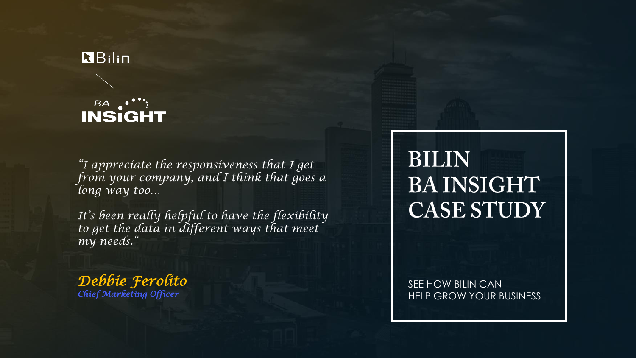#### RBilin

## **BA ...;<br>INSIGHT**

*"I appreciate the responsiveness that I get from your company, and I think that goes a long way too…* 

*It's been really helpful to have the flexibility to get the data in different ways that meet my needs."*

*Debbie Ferolito Chief Marketing Officer*

## **BILIN BAINSIGHT CASE STUDY**

SEE HOW BILIN CAN HELP GROW YOUR BUSINESS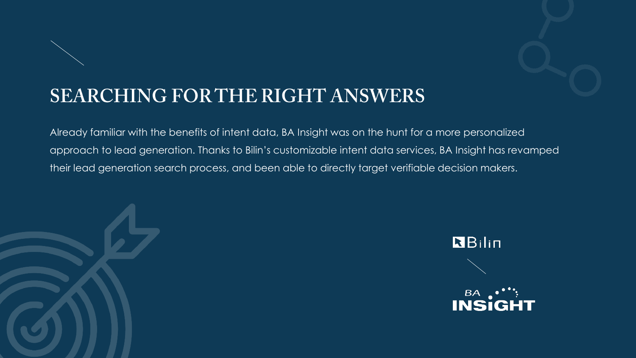

### **SEARCHING FOR THE RIGHT ANSWERS**

Already familiar with the benefits of intent data, BA Insight was on the hunt for a more personalized approach to lead generation. Thanks to Bilin's customizable intent data services, BA Insight has revamped their lead generation search process, and been able to directly target verifiable decision makers.



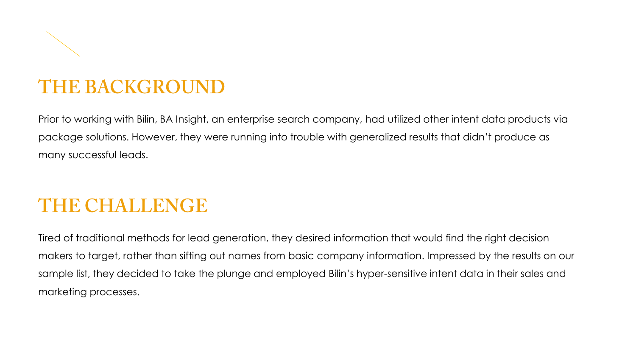#### **THE BACKGROUND**

Prior to working with Bilin, BA Insight, an enterprise search company, had utilized other intent data products via package solutions. However, they were running into trouble with generalized results that didn't produce as many successful leads.

#### **THE CHALLENGE**

Tired of traditional methods for lead generation, they desired information that would find the right decision makers to target, rather than sifting out names from basic company information. Impressed by the results on our sample list, they decided to take the plunge and employed Bilin's hyper-sensitive intent data in their sales and marketing processes.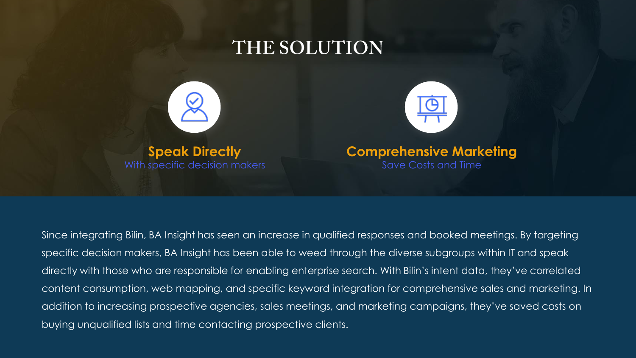





Since integrating Bilin, BA Insight has seen an increase in qualified responses and booked meetings. By targeting specific decision makers, BA Insight has been able to weed through the diverse subgroups within IT and speak directly with those who are responsible for enabling enterprise search. With Bilin's intent data, they've correlated content consumption, web mapping, and specific keyword integration for comprehensive sales and marketing. In addition to increasing prospective agencies, sales meetings, and marketing campaigns, they've saved costs on buying unqualified lists and time contacting prospective clients.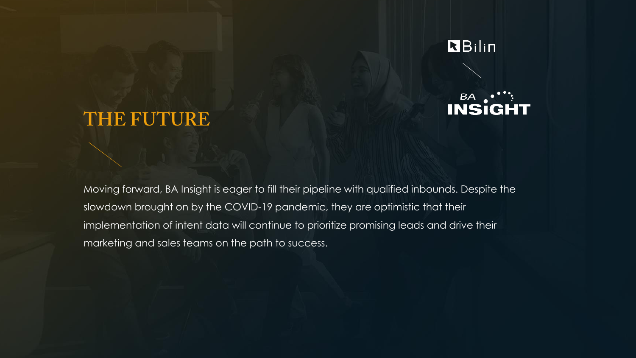

#### BA. **INSIGHT**

#### THE FUTURE

Moving forward, BA Insight is eager to fill their pipeline with qualified inbounds. Despite the slowdown brought on by the COVID-19 pandemic, they are optimistic that their implementation of intent data will continue to prioritize promising leads and drive their marketing and sales teams on the path to success.